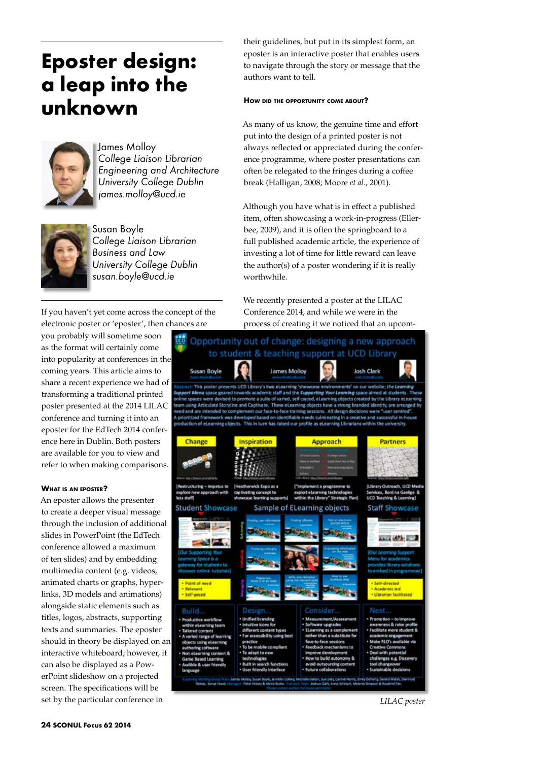# **Eposter design: a leap into the unknown**



James Molloy *College Liaison Librarian Engineering and Architecture University College Dublin james.molloy@ucd.ie*



Susan Boyle *College Liaison Librarian Business and Law University College Dublin susan.boyle@ucd.ie*

If you haven't yet come across the concept of the electronic poster or 'eposter', then chances are

you probably will sometime soon as the format will certainly come into popularity at conferences in the coming years. This article aims to share a recent experience we had of transforming a traditional printed poster presented at the 2014 LILAC conference and turning it into an eposter for the EdTech 2014 conference here in Dublin. Both posters are available for you to view and refer to when making comparisons.

## **What is an eposter?**

An eposter allows the presenter to create a deeper visual message through the inclusion of additional slides in PowerPoint (the EdTech conference allowed a maximum of ten slides) and by embedding multimedia content (e.g. videos, animated charts or graphs, hyperlinks, 3D models and animations) alongside static elements such as titles, logos, abstracts, supporting texts and summaries. The eposter should in theory be displayed on an interactive whiteboard; however, it can also be displayed as a PowerPoint slideshow on a projected screen. The specifications will be set by the particular conference in

their guidelines, but put in its simplest form, an eposter is an interactive poster that enables users to navigate through the story or message that the authors want to tell.

## **How did the opportunity come about?**

As many of us know, the genuine time and effort put into the design of a printed poster is not always reflected or appreciated during the conference programme, where poster presentations can often be relegated to the fringes during a coffee break (Halligan, 2008; Moore *et al*., 2001).

Although you have what is in effect a published item, often showcasing a work-in-progress (Ellerbee, 2009), and it is often the springboard to a full published academic article, the experience of investing a lot of time for little reward can leave the author(s) of a poster wondering if it is really worthwhile.

We recently presented a poster at the LILAC Conference 2014, and while we were in the process of creating it we noticed that an upcom-



*LILAC poster*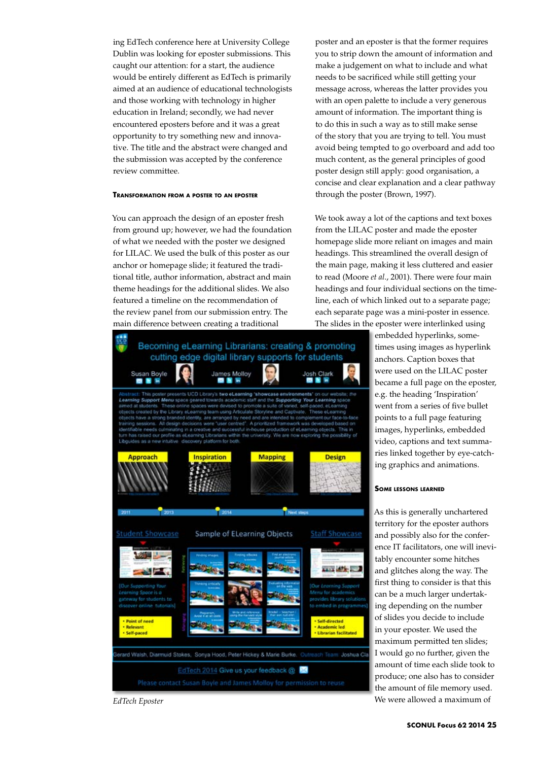ing EdTech conference here at University College Dublin was looking for eposter submissions. This caught our attention: for a start, the audience would be entirely different as EdTech is primarily aimed at an audience of educational technologists and those working with technology in higher education in Ireland; secondly, we had never encountered eposters before and it was a great opportunity to try something new and innovative. The title and the abstract were changed and the submission was accepted by the conference review committee.

### **Transformation from <sup>a</sup> poster to an eposter**

You can approach the design of an eposter fresh from ground up; however, we had the foundation of what we needed with the poster we designed for LILAC. We used the bulk of this poster as our anchor or homepage slide; it featured the traditional title, author information, abstract and main theme headings for the additional slides. We also featured a timeline on the recommendation of the review panel from our submission entry. The main difference between creating a traditional



poster and an eposter is that the former requires you to strip down the amount of information and make a judgement on what to include and what needs to be sacrificed while still getting your message across, whereas the latter provides you with an open palette to include a very generous amount of information. The important thing is to do this in such a way as to still make sense of the story that you are trying to tell. You must avoid being tempted to go overboard and add too much content, as the general principles of good poster design still apply: good organisation, a concise and clear explanation and a clear pathway through the poster (Brown, 1997).

We took away a lot of the captions and text boxes from the LILAC poster and made the eposter homepage slide more reliant on images and main headings. This streamlined the overall design of the main page, making it less cluttered and easier to read (Moore *et al*., 2001). There were four main headings and four individual sections on the timeline, each of which linked out to a separate page; each separate page was a mini-poster in essence.

The slides in the eposter were interlinked using

embedded hyperlinks, sometimes using images as hyperlink anchors. Caption boxes that were used on the LILAC poster became a full page on the eposter, e.g. the heading 'Inspiration' went from a series of five bullet points to a full page featuring images, hyperlinks, embedded video, captions and text summaries linked together by eye-catching graphics and animations.

#### **Some lessons learned**

As this is generally unchartered territory for the eposter authors and possibly also for the conference IT facilitators, one will inevitably encounter some hitches and glitches along the way. The first thing to consider is that this can be a much larger undertaking depending on the number of slides you decide to include in your eposter. We used the maximum permitted ten slides; I would go no further, given the amount of time each slide took to produce; one also has to consider the amount of file memory used. *EdTech Eposter* We were allowed a maximum of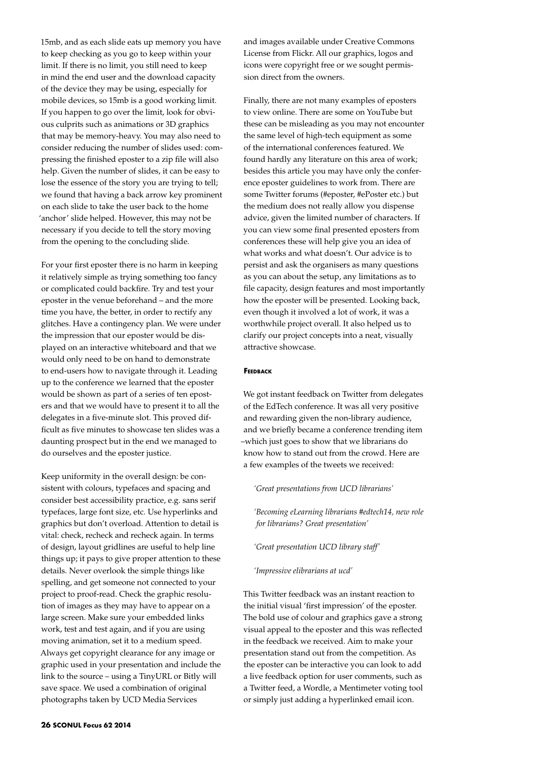15mb, and as each slide eats up memory you have to keep checking as you go to keep within your limit. If there is no limit, you still need to keep in mind the end user and the download capacity of the device they may be using, especially for mobile devices, so 15mb is a good working limit. If you happen to go over the limit, look for obvious culprits such as animations or 3D graphics that may be memory-heavy. You may also need to consider reducing the number of slides used: compressing the finished eposter to a zip file will also help. Given the number of slides, it can be easy to lose the essence of the story you are trying to tell; we found that having a back arrow key prominent on each slide to take the user back to the home 'anchor' slide helped. However, this may not be necessary if you decide to tell the story moving from the opening to the concluding slide.

For your first eposter there is no harm in keeping it relatively simple as trying something too fancy or complicated could backfire. Try and test your eposter in the venue beforehand – and the more time you have, the better, in order to rectify any glitches. Have a contingency plan. We were under the impression that our eposter would be displayed on an interactive whiteboard and that we would only need to be on hand to demonstrate to end-users how to navigate through it. Leading up to the conference we learned that the eposter would be shown as part of a series of ten eposters and that we would have to present it to all the delegates in a five-minute slot. This proved difficult as five minutes to showcase ten slides was a daunting prospect but in the end we managed to do ourselves and the eposter justice.

Keep uniformity in the overall design: be consistent with colours, typefaces and spacing and consider best accessibility practice, e.g. sans serif typefaces, large font size, etc. Use hyperlinks and graphics but don't overload. Attention to detail is vital: check, recheck and recheck again. In terms of design, layout gridlines are useful to help line things up; it pays to give proper attention to these details. Never overlook the simple things like spelling, and get someone not connected to your project to proof-read. Check the graphic resolution of images as they may have to appear on a large screen. Make sure your embedded links work, test and test again, and if you are using moving animation, set it to a medium speed. Always get copyright clearance for any image or graphic used in your presentation and include the link to the source – using a TinyURL or Bitly will save space. We used a combination of original photographs taken by UCD Media Services

and images available under Creative Commons License from Flickr. All our graphics, logos and icons were copyright free or we sought permission direct from the owners.

Finally, there are not many examples of eposters to view online. There are some on YouTube but these can be misleading as you may not encounter the same level of high-tech equipment as some of the international conferences featured. We found hardly any literature on this area of work; besides this article you may have only the conference eposter guidelines to work from. There are some Twitter forums (#eposter, #ePoster etc.) but the medium does not really allow you dispense advice, given the limited number of characters. If you can view some final presented eposters from conferences these will help give you an idea of what works and what doesn't. Our advice is to persist and ask the organisers as many questions as you can about the setup, any limitations as to file capacity, design features and most importantly how the eposter will be presented. Looking back, even though it involved a lot of work, it was a worthwhile project overall. It also helped us to clarify our project concepts into a neat, visually attractive showcase.

## **Feedback**

We got instant feedback on Twitter from delegates of the EdTech conference. It was all very positive and rewarding given the non-library audience, and we briefly became a conference trending item –which just goes to show that we librarians do know how to stand out from the crowd. Here are a few examples of the tweets we received:

*'Great presentations from UCD librarians'*

*'Becoming eLearning librarians #edtech14, new role for librarians? Great presentation'*

*'Great presentation UCD library staff'*

*'Impressive elibrarians at ucd'*

This Twitter feedback was an instant reaction to the initial visual 'first impression' of the eposter. The bold use of colour and graphics gave a strong visual appeal to the eposter and this was reflected in the feedback we received. Aim to make your presentation stand out from the competition. As the eposter can be interactive you can look to add a live feedback option for user comments, such as a Twitter feed, a Wordle, a Mentimeter voting tool or simply just adding a hyperlinked email icon.